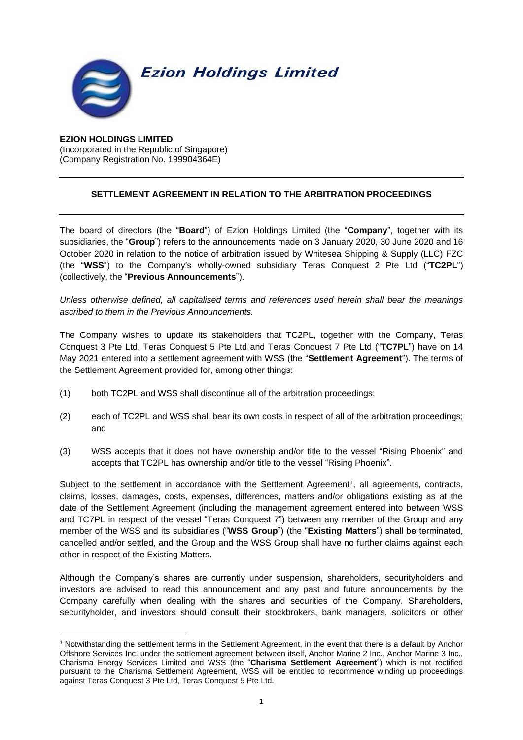

**EZION HOLDINGS LIMITED** (Incorporated in the Republic of Singapore) (Company Registration No. 199904364E)

## **SETTLEMENT AGREEMENT IN RELATION TO THE ARBITRATION PROCEEDINGS**

The board of directors (the "**Board**") of Ezion Holdings Limited (the "**Company**", together with its subsidiaries, the "**Group**") refers to the announcements made on 3 January 2020, 30 June 2020 and 16 October 2020 in relation to the notice of arbitration issued by Whitesea Shipping & Supply (LLC) FZC (the "**WSS**") to the Company's wholly-owned subsidiary Teras Conquest 2 Pte Ltd ("**TC2PL**") (collectively, the "**Previous Announcements**").

*Unless otherwise defined, all capitalised terms and references used herein shall bear the meanings ascribed to them in the Previous Announcements.*

The Company wishes to update its stakeholders that TC2PL, together with the Company, Teras Conquest 3 Pte Ltd, Teras Conquest 5 Pte Ltd and Teras Conquest 7 Pte Ltd ("**TC7PL**") have on 14 May 2021 entered into a settlement agreement with WSS (the "**Settlement Agreement**"). The terms of the Settlement Agreement provided for, among other things:

- (1) both TC2PL and WSS shall discontinue all of the arbitration proceedings;
- (2) each of TC2PL and WSS shall bear its own costs in respect of all of the arbitration proceedings; and
- (3) WSS accepts that it does not have ownership and/or title to the vessel "Rising Phoenix" and accepts that TC2PL has ownership and/or title to the vessel "Rising Phoenix".

Subject to the settlement in accordance with the Settlement Agreement<sup>1</sup>, all agreements, contracts, claims, losses, damages, costs, expenses, differences, matters and/or obligations existing as at the date of the Settlement Agreement (including the management agreement entered into between WSS and TC7PL in respect of the vessel "Teras Conquest 7") between any member of the Group and any member of the WSS and its subsidiaries ("**WSS Group**") (the "**Existing Matters**") shall be terminated, cancelled and/or settled, and the Group and the WSS Group shall have no further claims against each other in respect of the Existing Matters.

Although the Company's shares are currently under suspension, shareholders, securityholders and investors are advised to read this announcement and any past and future announcements by the Company carefully when dealing with the shares and securities of the Company. Shareholders, securityholder, and investors should consult their stockbrokers, bank managers, solicitors or other

<sup>1</sup> Notwithstanding the settlement terms in the Settlement Agreement, in the event that there is a default by Anchor Offshore Services Inc. under the settlement agreement between itself, Anchor Marine 2 Inc., Anchor Marine 3 Inc., Charisma Energy Services Limited and WSS (the "**Charisma Settlement Agreement**") which is not rectified pursuant to the Charisma Settlement Agreement, WSS will be entitled to recommence winding up proceedings against Teras Conquest 3 Pte Ltd, Teras Conquest 5 Pte Ltd.